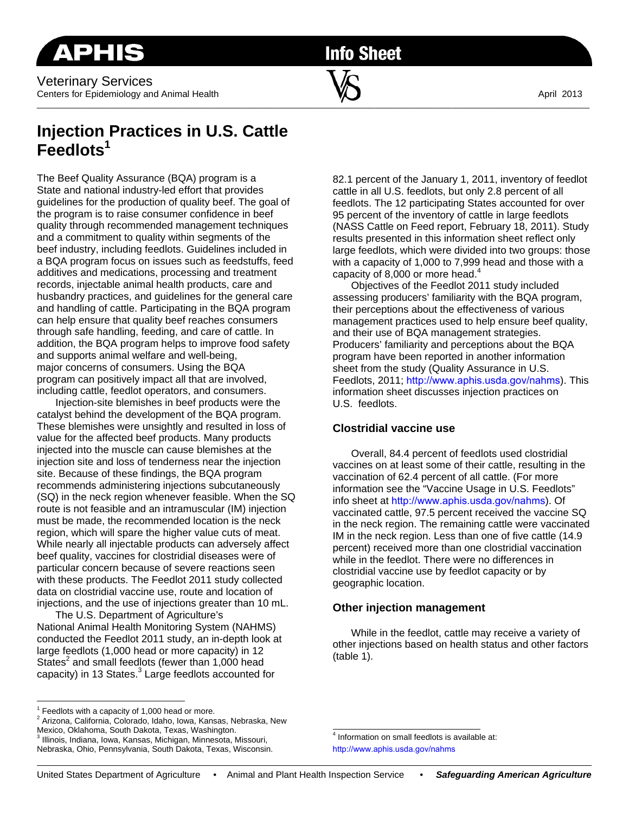Veterinary Services Centers for Epidemiology and Animal Health  $\blacksquare$   $\blacksquare$ 

**Info Sheet** 

 $\overline{\phantom{a}}$  , and the contribution of the contribution of  $\overline{\phantom{a}}$  , and  $\overline{\phantom{a}}$  , and  $\overline{\phantom{a}}$  , and  $\overline{\phantom{a}}$ 

# **Injection Practices in U.S. Cattle Feedlots1**

The Beef Quality Assurance (BQA) program is a State and national industry-led effort that provides guidelines for the production of quality beef. The goal of the program is to raise consumer confidence in beef quality through recommended management techniques and a commitment to quality within segments of the beef industry, including feedlots. Guidelines included in a BQA program focus on issues such as feedstuffs, feed additives and medications, processing and treatment records, injectable animal health products, care and husbandry practices, and guidelines for the general care and handling of cattle. Participating in the BQA program can help ensure that quality beef reaches consumers through safe handling, feeding, and care of cattle. In addition, the BQA program helps to improve food safety and supports animal welfare and well-being, major concerns of consumers. Using the BQA program can positively impact all that are involved, including cattle, feedlot operators, and consumers.

Injection-site blemishes in beef products were the catalyst behind the development of the BQA program. These blemishes were unsightly and resulted in loss of value for the affected beef products. Many products injected into the muscle can cause blemishes at the injection site and loss of tenderness near the injection site. Because of these findings, the BQA program recommends administering injections subcutaneously (SQ) in the neck region whenever feasible. When the SQ route is not feasible and an intramuscular (IM) injection must be made, the recommended location is the neck region, which will spare the higher value cuts of meat. While nearly all injectable products can adversely affect beef quality, vaccines for clostridial diseases were of particular concern because of severe reactions seen with these products. The Feedlot 2011 study collected data on clostridial vaccine use, route and location of injections, and the use of injections greater than 10 mL.

The U.S. Department of Agriculture's National Animal Health Monitoring System (NAHMS) conducted the Feedlot 2011 study, an in-depth look at large feedlots (1,000 head or more capacity) in 12 States<sup>2</sup> and small feedlots (fewer than 1,000 head capacity) in 13 States.<sup>3</sup> Large feedlots accounted for

82.1 percent of the January 1, 2011, inventory of feedlot cattle in all U.S. feedlots, but only 2.8 percent of all feedlots. The 12 participating States accounted for over 95 percent of the inventory of cattle in large feedlots (NASS Cattle on Feed report, February 18, 2011). Study results presented in this information sheet reflect only large feedlots, which were divided into two groups: those with a capacity of 1,000 to 7,999 head and those with a capacity of 8,000 or more head. $4$ 

Objectives of the Feedlot 2011 study included assessing producers' familiarity with the BQA program, their perceptions about the effectiveness of various management practices used to help ensure beef quality, and their use of BQA management strategies. Producers' familiarity and perceptions about the BQA program have been reported in another information sheet from the study (Quality Assurance in U.S. Feedlots, 2011; http://www.aphis.usda.gov/nahms). This information sheet discusses injection practices on U.S. feedlots.

### **Clostridial vaccine use**

Overall, 84.4 percent of feedlots used clostridial vaccines on at least some of their cattle, resulting in the vaccination of 62.4 percent of all cattle. (For more information see the "Vaccine Usage in U.S. Feedlots" info sheet at http://www.aphis.usda.gov/nahms). Of vaccinated cattle, 97.5 percent received the vaccine SQ in the neck region. The remaining cattle were vaccinated IM in the neck region. Less than one of five cattle (14.9 percent) received more than one clostridial vaccination while in the feedlot. There were no differences in clostridial vaccine use by feedlot capacity or by geographic location.

## **Other injection management**

While in the feedlot, cattle may receive a variety of other injections based on health status and other factors (table 1).

 $1$  Feedlots with a capacity of 1,000 head or more.

<sup>2</sup> Arizona, California, Colorado, Idaho, Iowa, Kansas, Nebraska, New Mexico, Oklahoma, South Dakota, Texas, Washington.

<sup>3</sup> Illinois, Indiana, Iowa, Kansas, Michigan, Minnesota, Missouri, Nebraska, Ohio, Pennsylvania, South Dakota, Texas, Wisconsin.

<sup>&</sup>lt;sup>4</sup> Information on small feedlots is available at: http://www.aphis.usda.gov/nahms